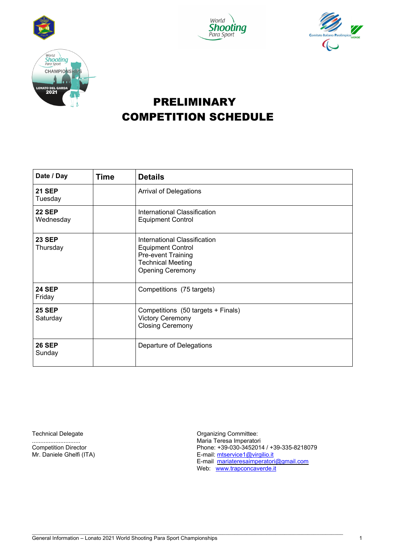





# PRELIMINARY COMPETITION SCHEDULE

| Date / Day                 | <b>Time</b> | <b>Details</b>                                                                                                                        |
|----------------------------|-------------|---------------------------------------------------------------------------------------------------------------------------------------|
| <b>21 SEP</b><br>Tuesday   |             | <b>Arrival of Delegations</b>                                                                                                         |
| <b>22 SEP</b><br>Wednesday |             | International Classification<br><b>Equipment Control</b>                                                                              |
| <b>23 SEP</b><br>Thursday  |             | International Classification<br><b>Equipment Control</b><br>Pre-event Training<br><b>Technical Meeting</b><br><b>Opening Ceremony</b> |
| <b>24 SEP</b><br>Friday    |             | Competitions (75 targets)                                                                                                             |
| <b>25 SEP</b><br>Saturday  |             | Competitions (50 targets + Finals)<br><b>Victory Ceremony</b><br><b>Closing Ceremony</b>                                              |
| <b>26 SEP</b><br>Sunday    |             | Departure of Delegations                                                                                                              |

\_\_\_\_\_\_\_\_\_\_\_\_\_\_\_\_\_\_\_\_\_\_\_\_\_\_\_\_\_\_\_\_\_\_\_\_\_\_\_\_\_\_\_\_\_\_\_\_\_\_\_\_\_\_\_\_\_\_\_\_\_\_\_\_\_\_\_\_\_\_\_\_\_\_\_\_\_\_\_\_\_\_\_\_\_\_\_\_\_\_\_\_\_\_\_\_\_\_\_\_\_\_\_\_\_\_

Technical Delegate **Technical Delegate Committee:** ............................. Maria Teresa Imperatori Competition Director<br>
Competition Director<br>
Mr. Daniele Ghelfi (ITA) The Phone: +39-030-3452014 / +39-335-8218079<br>
E-mail: mtservice1@virgilio.it E-mail: mtservice1@virgilio.it E-mail mariateresaimperatori@gmail.com Web: www.trapconcaverde.it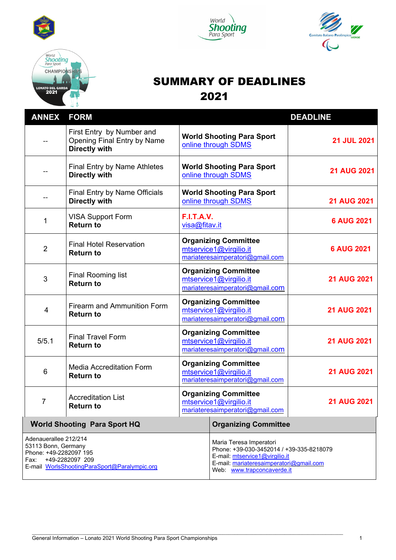







# SUMMARY OF DEADLINES 2021

| <b>ANNEX</b>                                                                                                                                      | <b>FORM</b>                                                                      |                                                                                          |                                                                                                                                                                                | <b>DEADLINE</b>    |
|---------------------------------------------------------------------------------------------------------------------------------------------------|----------------------------------------------------------------------------------|------------------------------------------------------------------------------------------|--------------------------------------------------------------------------------------------------------------------------------------------------------------------------------|--------------------|
|                                                                                                                                                   | First Entry by Number and<br>Opening Final Entry by Name<br><b>Directly with</b> | <b>World Shooting Para Sport</b><br>online through SDMS                                  |                                                                                                                                                                                | <b>21 JUL 2021</b> |
|                                                                                                                                                   | <b>Final Entry by Name Athletes</b><br><b>Directly with</b>                      |                                                                                          | <b>World Shooting Para Sport</b><br>online through SDMS                                                                                                                        | <b>21 AUG 2021</b> |
|                                                                                                                                                   | <b>Final Entry by Name Officials</b><br><b>Directly with</b>                     |                                                                                          | <b>World Shooting Para Sport</b><br>online through SDMS                                                                                                                        | <b>21 AUG 2021</b> |
| 1                                                                                                                                                 | <b>VISA Support Form</b><br><b>Return to</b>                                     | <b>F.I.T.A.V.</b><br>visa@fitav.it                                                       |                                                                                                                                                                                | <b>6 AUG 2021</b>  |
| $\overline{2}$                                                                                                                                    | <b>Final Hotel Reservation</b><br><b>Return to</b>                               |                                                                                          | <b>Organizing Committee</b><br>mtservice1@virgilio.it<br>mariateresaimperatori@gmail.com                                                                                       | <b>6 AUG 2021</b>  |
| 3                                                                                                                                                 | <b>Final Rooming list</b><br><b>Return to</b>                                    | <b>Organizing Committee</b><br>mtservice1@virgilio.it<br>mariateresaimperatori@gmail.com |                                                                                                                                                                                | <b>21 AUG 2021</b> |
| 4                                                                                                                                                 | <b>Firearm and Ammunition Form</b><br><b>Return to</b>                           | <b>Organizing Committee</b><br>mtservice1@virgilio.it<br>mariateresaimperatori@gmail.com |                                                                                                                                                                                | <b>21 AUG 2021</b> |
| 5/5.1                                                                                                                                             | <b>Final Travel Form</b><br><b>Return to</b>                                     | <b>Organizing Committee</b><br>mtservice1@virgilio.it<br>mariateresaimperatori@gmail.com |                                                                                                                                                                                | <b>21 AUG 2021</b> |
| 6                                                                                                                                                 | <b>Media Accreditation Form</b><br><b>Return to</b>                              | <b>Organizing Committee</b><br>mtservice1@virgilio.it<br>mariateresaimperatori@gmail.com |                                                                                                                                                                                | <b>21 AUG 2021</b> |
| $\overline{7}$                                                                                                                                    | <b>Accreditation List</b><br><b>Return to</b>                                    | <b>Organizing Committee</b><br>mtservice1@virgilio.it<br>mariateresaimperatori@gmail.com |                                                                                                                                                                                | <b>21 AUG 2021</b> |
|                                                                                                                                                   | <b>World Shooting Para Sport HQ</b>                                              |                                                                                          | <b>Organizing Committee</b>                                                                                                                                                    |                    |
| Adenauerallee 212/214<br>53113 Bonn, Germany<br>Phone: +49-2282097 195<br>+49-2282097 209<br>Fax:<br>E-mail WorlsShootingParaSport@Paralympic.org |                                                                                  |                                                                                          | Maria Teresa Imperatori<br>Phone: +39-030-3452014 / +39-335-8218079<br>E-mail: mtservice1@virgilio.it<br>E-mail: mariateresaimperatori@gmail.com<br>Web: www.trapconcaverde.it |                    |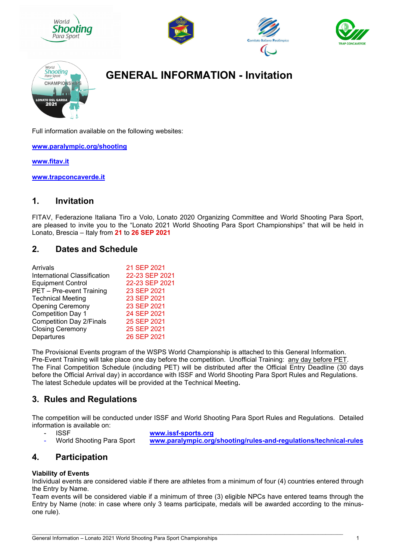









# **GENERAL INFORMATION - Invitation**

Full information available on the following websites:

**www.paralympic.org/shooting** 

**www.fitav.it** 

**www.trapconcaverde.it** 

# **1. Invitation**

FITAV, Federazione Italiana Tiro a Volo, Lonato 2020 Organizing Committee and World Shooting Para Sport, are pleased to invite you to the "Lonato 2021 World Shooting Para Sport Championships" that will be held in Lonato, Brescia – Italy from **21** to **26 SEP 2021**

# **2. Dates and Schedule**

| Arrivals                        | 21 SEP 2021    |
|---------------------------------|----------------|
| International Classification    | 22-23 SEP 2021 |
| <b>Equipment Control</b>        | 22-23 SEP 2021 |
| PET - Pre-event Training        | 23 SEP 2021    |
| <b>Technical Meeting</b>        | 23 SEP 2021    |
| <b>Opening Ceremony</b>         | 23 SEP 2021    |
| <b>Competition Day 1</b>        | 24 SEP 2021    |
| <b>Competition Day 2/Finals</b> | 25 SEP 2021    |
| <b>Closing Ceremony</b>         | 25 SEP 2021    |
| Departures                      | 26 SEP 2021    |

The Provisional Events program of the WSPS World Championship is attached to this General Information. Pre-Event Training will take place one day before the competition. Unofficial Training: any day before PET. The Final Competition Schedule (including PET) will be distributed after the Official Entry Deadline (30 days before the Official Arrival day) in accordance with ISSF and World Shooting Para Sport Rules and Regulations. The latest Schedule updates will be provided at the Technical Meeting**.** 

# **3. Rules and Regulations**

The competition will be conducted under ISSF and World Shooting Para Sport Rules and Regulations. Detailed information is available on:

- - ISSF **www.issf-sports.org**
	- World Shooting Para Sport **www.paralympic.org/shooting/rules-and-regulations/technical-rules**

# **4. Participation**

#### **Viability of Events**

Individual events are considered viable if there are athletes from a minimum of four (4) countries entered through the Entry by Name.

Team events will be considered viable if a minimum of three (3) eligible NPCs have entered teams through the Entry by Name (note: in case where only 3 teams participate, medals will be awarded according to the minusone rule).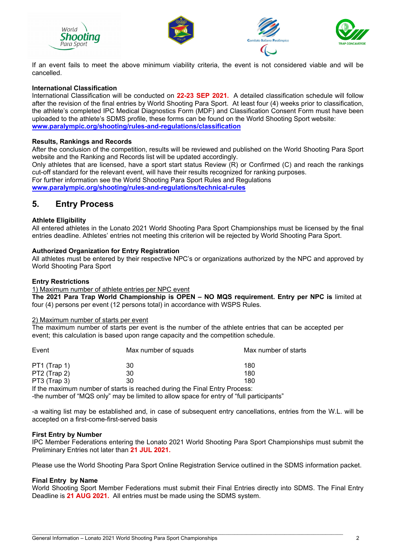







If an event fails to meet the above minimum viability criteria, the event is not considered viable and will be cancelled.

#### **International Classification**

International Classification will be conducted on **22-23 SEP 2021.** A detailed classification schedule will follow after the revision of the final entries by World Shooting Para Sport. At least four (4) weeks prior to classification, the athlete's completed IPC Medical Diagnostics Form (MDF) and Classification Consent Form must have been uploaded to the athlete's SDMS profile, these forms can be found on the World Shooting Sport website: **www.paralympic.org/shooting/rules-and-regulations/classification**

#### **Results, Rankings and Records**

After the conclusion of the competition, results will be reviewed and published on the World Shooting Para Sport website and the Ranking and Records list will be updated accordingly. Only athletes that are licensed, have a sport start status Review (R) or Confirmed (C) and reach the rankings cut-off standard for the relevant event, will have their results recognized for ranking purposes. For further information see the World Shooting Para Sport Rules and Regulations **www.paralympic.org/shooting/rules-and-regulations/technical-rules**

### **5. Entry Process**

#### **Athlete Eligibility**

All entered athletes in the Lonato 2021 World Shooting Para Sport Championships must be licensed by the final entries deadline. Athletes' entries not meeting this criterion will be rejected by World Shooting Para Sport.

#### **Authorized Organization for Entry Registration**

All athletes must be entered by their respective NPC's or organizations authorized by the NPC and approved by World Shooting Para Sport

#### **Entry Restrictions**

1) Maximum number of athlete entries per NPC event

**The 2021 Para Trap World Championship is OPEN – NO MQS requirement. Entry per NPC is** limited at four (4) persons per event (12 persons total) in accordance with WSPS Rules.

#### 2) Maximum number of starts per event

The maximum number of starts per event is the number of the athlete entries that can be accepted per event; this calculation is based upon range capacity and the competition schedule.

| Event        | Max number of squads                                                       | Max number of starts |
|--------------|----------------------------------------------------------------------------|----------------------|
| PT1 (Trap 1) | 30                                                                         | 180                  |
| PT2 (Trap 2) | 30                                                                         | 180                  |
| PT3 (Trap 3) | 30                                                                         | 180                  |
|              | If the maximum number of starts is reached during the Final Entry Process: |                      |

-the number of "MQS only" may be limited to allow space for entry of "full participants"

-a waiting list may be established and, in case of subsequent entry cancellations, entries from the W.L. will be accepted on a first-come-first-served basis

#### **First Entry by Number**

IPC Member Federations entering the Lonato 2021 World Shooting Para Sport Championships must submit the Preliminary Entries not later than **21 JUL 2021.**

Please use the World Shooting Para Sport Online Registration Service outlined in the SDMS information packet.

#### **Final Entry by Name**

World Shooting Sport Member Federations must submit their Final Entries directly into SDMS. The Final Entry Deadline is **21 AUG 2021.** All entries must be made using the SDMS system.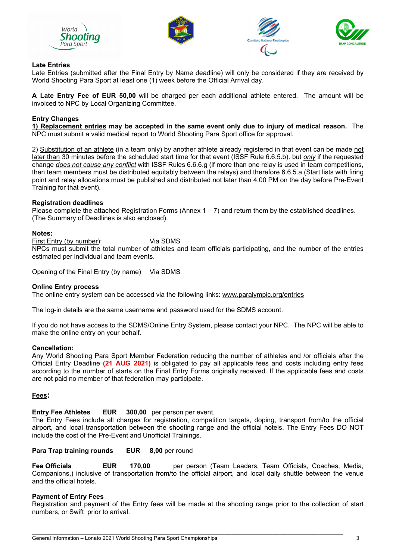







#### **Late Entries**

Late Entries (submitted after the Final Entry by Name deadline) will only be considered if they are received by World Shooting Para Sport at least one (1) week before the Official Arrival day.

**A Late Entry Fee of EUR 50,00** will be charged per each additional athlete entered. The amount will be invoiced to NPC by Local Organizing Committee.

#### **Entry Changes**

**1) Replacement entries may be accepted in the same event only due to injury of medical reason.** The NPC must submit a valid medical report to World Shooting Para Sport office for approval.

2) Substitution of an athlete (in a team only) by another athlete already registered in that event can be made not later than 30 minutes before the scheduled start time for that event (ISSF Rule 6.6.5.b). but *only* if the requested change *does not cause any conflict* with ISSF Rules 6.6.6.g (if more than one relay is used in team competitions, then team members must be distributed equitably between the relays) and therefore 6.6.5.a (Start lists with firing point and relay allocations must be published and distributed not later than 4.00 PM on the day before Pre-Event Training for that event).

#### **Registration deadlines**

Please complete the attached Registration Forms (Annex 1 – 7) and return them by the established deadlines. (The Summary of Deadlines is also enclosed).

#### **Notes:**

First Entry (by number): Via SDMS

NPCs must submit the total number of athletes and team officials participating, and the number of the entries estimated per individual and team events.

Opening of the Final Entry (by name) Via SDMS

#### **Online Entry process**

The online entry system can be accessed via the following links: www.paralympic.org/entries

The log-in details are the same username and password used for the SDMS account.

If you do not have access to the SDMS/Online Entry System, please contact your NPC. The NPC will be able to make the online entry on your behalf.

#### **Cancellation:**

Any World Shooting Para Sport Member Federation reducing the number of athletes and /or officials after the Official Entry Deadline **(21 AUG 2021)** is obligated to pay all applicable fees and costs including entry fees according to the number of starts on the Final Entry Forms originally received. If the applicable fees and costs are not paid no member of that federation may participate.

#### **Fees:**

#### **Entry Fee Athletes EUR 300,00** per person per event.

The Entry Fees include all charges for registration, competition targets, doping, transport from/to the official airport, and local transportation between the shooting range and the official hotels. The Entry Fees DO NOT include the cost of the Pre-Event and Unofficial Trainings.

#### **Para Trap training rounds EUR 8.00 per round**

**Fee Officials EUR 170,00** per person (Team Leaders, Team Officials, Coaches, Media, Companions,) inclusive of transportation from/to the official airport, and local daily shuttle between the venue and the official hotels.

#### **Payment of Entry Fees**

Registration and payment of the Entry fees will be made at the shooting range prior to the collection of start numbers, or Swift prior to arrival.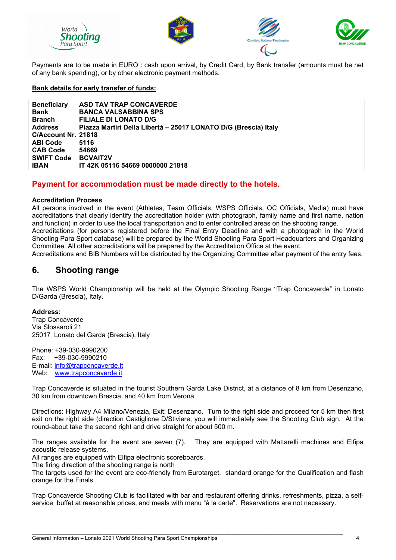







Payments are to be made in EURO : cash upon arrival, by Credit Card, by Bank transfer (amounts must be net of any bank spending), or by other electronic payment methods.

#### **Bank details for early transfer of funds:**

| <b>Beneficiary</b>  | <b>ASD TAV TRAP CONCAVERDE</b>                                  |
|---------------------|-----------------------------------------------------------------|
| <b>Bank</b>         | <b>BANCA VALSABBINA SPS</b>                                     |
| Branch              | <b>FILIALE DI LONATO D/G</b>                                    |
| <b>Address</b>      | Piazza Martiri Della Libertà - 25017 LONATO D/G (Brescia) Italy |
| C/Account Nr. 21818 |                                                                 |
| <b>ABI Code</b>     | 5116                                                            |
| <b>CAB Code</b>     | 54669                                                           |
| <b>SWIFT Code</b>   | <b>BCVAIT2V</b>                                                 |
| <b>IBAN</b>         | IT 42K 05116 54669 0000000 21818                                |

### **Payment for accommodation must be made directly to the hotels.**

#### **Accreditation Process**

All persons involved in the event (Athletes, Team Officials, WSPS Officials, OC Officials, Media) must have accreditations that clearly identify the accreditation holder (with photograph, family name and first name, nation and function) in order to use the local transportation and to enter controlled areas on the shooting range. Accreditations (for persons registered before the Final Entry Deadline and with a photograph in the World Shooting Para Sport database) will be prepared by the World Shooting Para Sport Headquarters and Organizing Committee. All other accreditations will be prepared by the Accreditation Office at the event.

Accreditations and BIB Numbers will be distributed by the Organizing Committee after payment of the entry fees.

# **6. Shooting range**

The WSPS World Championship will be held at the Olympic Shooting Range "Trap Concaverde" in Lonato D/Garda (Brescia), Italy.

#### **Address:**

Trap Concaverde Via Slossaroli 21 25017 Lonato del Garda (Brescia), Italy

Phone: +39-030-9990200 Fax: +39-030-9990210 E-mail: info@trapconcaverde.it Web: www.trapconcaverde.it

Trap Concaverde is situated in the tourist Southern Garda Lake District, at a distance of 8 km from Desenzano, 30 km from downtown Brescia, and 40 km from Verona.

Directions: Highway A4 Milano/Venezia, Exit: Desenzano. Turn to the right side and proceed for 5 km then first exit on the right side (direction Castiglione D/Stiviere; you will immediately see the Shooting Club sign. At the round-about take the second right and drive straight for about 500 m.

The ranges available for the event are seven (7). They are equipped with Mattarelli machines and Elfipa acoustic release systems.

All ranges are equipped with Elfipa electronic scoreboards.

The firing direction of the shooting range is north

The targets used for the event are eco-friendly from Eurotarget, standard orange for the Qualification and flash orange for the Finals.

Trap Concaverde Shooting Club is facilitated with bar and restaurant offering drinks, refreshments, pizza, a selfservice buffet at reasonable prices, and meals with menu "à la carte". Reservations are not necessary.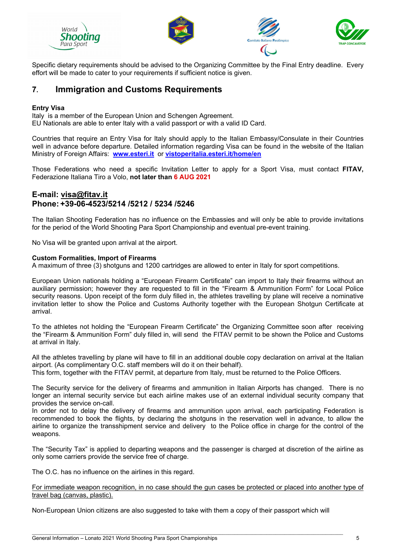







Specific dietary requirements should be advised to the Organizing Committee by the Final Entry deadline. Every effort will be made to cater to your requirements if sufficient notice is given.

# **7. Immigration and Customs Requirements**

#### **Entry Visa**

Italy is a member of the European Union and Schengen Agreement. EU Nationals are able to enter Italy with a valid passport or with a valid ID Card.

Countries that require an Entry Visa for Italy should apply to the Italian Embassy/Consulate in their Countries well in advance before departure. Detailed information regarding Visa can be found in the website of the Italian Ministry of Foreign Affairs: **www.esteri.it** or **vistoperitalia.esteri.it/home/en** 

Those Federations who need a specific Invitation Letter to apply for a Sport Visa, must contact **FITAV,**  Federazione Italiana Tiro a Volo, **not later than 6 AUG 2021** 

### **E-mail: visa@fitav.it Phone: +39-06-4523/5214 /5212 / 5234 /5246**

The Italian Shooting Federation has no influence on the Embassies and will only be able to provide invitations for the period of the World Shooting Para Sport Championship and eventual pre-event training.

No Visa will be granted upon arrival at the airport.

#### **Custom Formalities, Import of Firearms**

A maximum of three (3) shotguns and 1200 cartridges are allowed to enter in Italy for sport competitions.

European Union nationals holding a "European Firearm Certificate" can import to Italy their firearms without an auxiliary permission; however they are requested to fill in the "Firearm & Ammunition Form" for Local Police security reasons. Upon receipt of the form duly filled in, the athletes travelling by plane will receive a nominative invitation letter to show the Police and Customs Authority together with the European Shotgun Certificate at arrival.

To the athletes not holding the "European Firearm Certificate" the Organizing Committee soon after receiving the "Firearm & Ammunition Form" duly filled in, will send the FITAV permit to be shown the Police and Customs at arrival in Italy.

All the athletes travelling by plane will have to fill in an additional double copy declaration on arrival at the Italian airport. (As complimentary O.C. staff members will do it on their behalf).

This form, together with the FITAV permit, at departure from Italy, must be returned to the Police Officers.

The Security service for the delivery of firearms and ammunition in Italian Airports has changed. There is no longer an internal security service but each airline makes use of an external individual security company that provides the service on-call.

In order not to delay the delivery of firearms and ammunition upon arrival, each participating Federation is recommended to book the flights, by declaring the shotguns in the reservation well in advance, to allow the airline to organize the transshipment service and delivery to the Police office in charge for the control of the weapons.

The "Security Tax" is applied to departing weapons and the passenger is charged at discretion of the airline as only some carriers provide the service free of charge.

The O.C. has no influence on the airlines in this regard.

For immediate weapon recognition, in no case should the gun cases be protected or placed into another type of travel bag (canvas, plastic).

Non-European Union citizens are also suggested to take with them a copy of their passport which will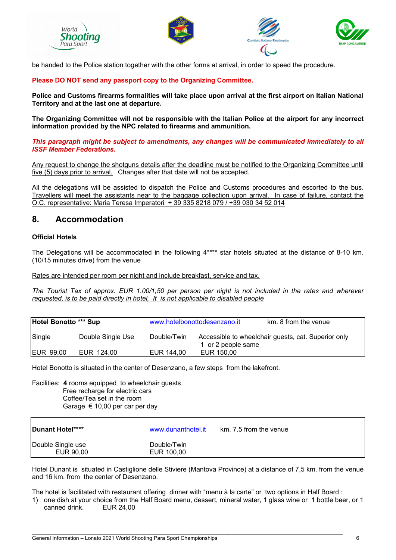







be handed to the Police station together with the other forms at arrival, in order to speed the procedure.

#### **Please DO NOT send any passport copy to the Organizing Committee.**

**Police and Customs firearms formalities will take place upon arrival at the first airport on Italian National Territory and at the last one at departure.** 

**The Organizing Committee will not be responsible with the Italian Police at the airport for any incorrect information provided by the NPC related to firearms and ammunition.** 

*This paragraph might be subject to amendments, any changes will be communicated immediately to all ISSF Member Federations.* 

Any request to change the shotguns details after the deadline must be notified to the Organizing Committee until five (5) days prior to arrival. Changes after that date will not be accepted.

All the delegations will be assisted to dispatch the Police and Customs procedures and escorted to the bus. Travellers will meet the assistants near to the baggage collection upon arrival. In case of failure, contact the O.C. representative: Maria Teresa Imperatori + 39 335 8218 079 / +39 030 34 52 014

### **8. Accommodation**

#### **Official Hotels**

The Delegations will be accommodated in the following 4\*\*\*\* star hotels situated at the distance of 8-10 km. (10/15 minutes drive) from the venue

Rates are intended per room per night and include breakfast, service and tax.

*The Tourist Tax of approx. EUR 1.00/1,50 per person per night is not included in the rates and wherever requested, is to be paid directly in hotel, It is not applicable to disabled people* 

| Hotel Bonotto *** Sup |                   | www.hotelbonottodesenzano.it |                    | km, 8 from the venue                                |  |
|-----------------------|-------------------|------------------------------|--------------------|-----------------------------------------------------|--|
| Single                | Double Single Use | Double/Twin                  | 1 or 2 people same | Accessible to wheelchair guests, cat. Superior only |  |
| <b>IEUR 99,00</b>     | EUR 124,00        | EUR 144,00                   | EUR 150,00         |                                                     |  |

Hotel Bonotto is situated in the center of Desenzano, a few steps from the lakefront.

Facilities: **4** rooms equipped to wheelchair guests Free recharge for electric cars Coffee/Tea set in the room Garage € 10,00 per car per day

| Dunant Hotel****               | www.dunanthotel.it        | km. 7.5 from the venue |
|--------------------------------|---------------------------|------------------------|
| Double Single use<br>EUR 90,00 | Double/Twin<br>EUR 100,00 |                        |

Hotel Dunant is situated in Castiglione delle Stiviere (Mantova Province) at a distance of 7,5 km. from the venue and 16 km. from the center of Desenzano.

The hotel is facilitated with restaurant offering dinner with "menu à la carte" or two options in Half Board :

\_\_\_\_\_\_\_\_\_\_\_\_\_\_\_\_\_\_\_\_\_\_\_\_\_\_\_\_\_\_\_\_\_\_\_\_\_\_\_\_\_\_\_\_\_\_\_\_\_\_\_\_\_\_\_\_\_\_\_\_\_\_\_\_\_\_\_\_\_\_\_\_\_\_\_\_\_\_\_\_\_\_\_\_\_\_\_\_\_\_\_\_\_\_\_\_\_\_\_\_\_\_\_\_\_\_

1) one dish at your choice from the Half Board menu, dessert, mineral water, 1 glass wine or 1 bottle beer, or 1 canned drink. EUR 24,00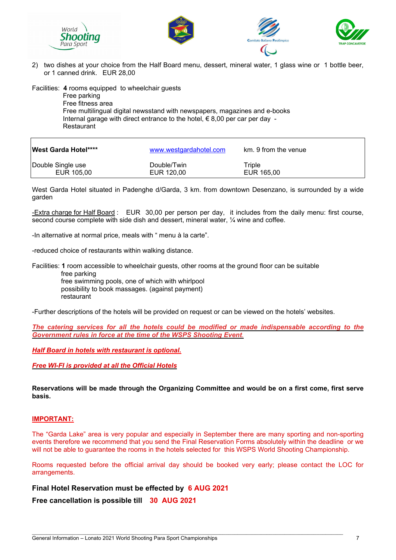







2) two dishes at your choice from the Half Board menu, dessert, mineral water, 1 glass wine or 1 bottle beer, or 1 canned drink. EUR 28,00

Facilities: **4** rooms equipped to wheelchair guests

 Free parking Free fitness area Free multilingual digital newsstand with newspapers, magazines and e-books Internal garage with direct entrance to the hotel,  $\epsilon$  8,00 per car per day -Restaurant

| <b>West Garda Hotel****</b> | www.westgardahotel.com | km. 9 from the venue |
|-----------------------------|------------------------|----------------------|
| Double Single use           | Double/Twin            | Triple               |
| EUR 105,00                  | EUR 120,00             | EUR 165,00           |

West Garda Hotel situated in Padenghe d/Garda, 3 km. from downtown Desenzano, is surrounded by a wide garden

-Extra charge for Half Board : EUR 30,00 per person per day, it includes from the daily menu: first course, second course complete with side dish and dessert, mineral water,  $\frac{1}{4}$  wine and coffee.

-In alternative at normal price, meals with " menu à la carte".

-reduced choice of restaurants within walking distance.

Facilities: **1** room accessible to wheelchair guests, other rooms at the ground floor can be suitable free parking free swimming pools, one of which with whirlpool possibility to book massages. (against payment) restaurant

-Further descriptions of the hotels will be provided on request or can be viewed on the hotels' websites.

*The catering services for all the hotels could be modified or made indispensable according to the Government rules in force at the time of the WSPS Shooting Event.* 

*Half Board in hotels with restaurant is optional.*

*Free WI-FI is provided at all the Official Hotels* 

**Reservations will be made through the Organizing Committee and would be on a first come, first serve basis.** 

#### **IMPORTANT:**

The "Garda Lake" area is very popular and especially in September there are many sporting and non-sporting events therefore we recommend that you send the Final Reservation Forms absolutely within the deadline or we will not be able to guarantee the rooms in the hotels selected for this WSPS World Shooting Championship.

Rooms requested before the official arrival day should be booked very early; please contact the LOC for arrangements.

\_\_\_\_\_\_\_\_\_\_\_\_\_\_\_\_\_\_\_\_\_\_\_\_\_\_\_\_\_\_\_\_\_\_\_\_\_\_\_\_\_\_\_\_\_\_\_\_\_\_\_\_\_\_\_\_\_\_\_\_\_\_\_\_\_\_\_\_\_\_\_\_\_\_\_\_\_\_\_\_\_\_\_\_\_\_\_\_\_\_\_\_\_\_\_\_\_\_\_\_\_\_\_\_\_\_

**Final Hotel Reservation must be effected by 6 AUG 2021** 

**Free cancellation is possible till 30 AUG 2021**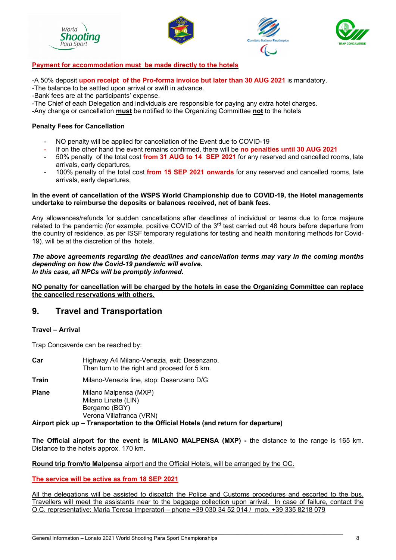







#### **Payment for accommodation must be made directly to the hotels**

-A 50% deposit **upon receipt of the Pro-forma invoice but later than 30 AUG 2021** is mandatory.

-The balance to be settled upon arrival or swift in advance.

-Bank fees are at the participants' expense.

-The Chief of each Delegation and individuals are responsible for paying any extra hotel charges.

-Any change or cancellation **must** be notified to the Organizing Committee **not** to the hotels

#### **Penalty Fees for Cancellation**

- NO penalty will be applied for cancellation of the Event due to COVID-19
- If on the other hand the event remains confirmed, there will be **no penalties until 30 AUG 2021**
- 50% penalty of the total cost **from 31 AUG to 14 SEP 2021** for any reserved and cancelled rooms, late arrivals, early departures,
- 100% penalty of the total cost **from 15 SEP 2021 onwards** for any reserved and cancelled rooms, late arrivals, early departures,

#### **In the event of cancellation of the WSPS World Championship due to COVID-19, the Hotel managements undertake to reimburse the deposits or balances received, net of bank fees.**

Any allowances/refunds for sudden cancellations after deadlines of individual or teams due to force majeure related to the pandemic (for example, positive COVID of the 3<sup>rd</sup> test carried out 48 hours before departure from the country of residence, as per ISSF temporary regulations for testing and health monitoring methods for Covid-19). will be at the discretion of the hotels.

#### *The above agreements regarding the deadlines and cancellation terms may vary in the coming months depending on how the Covid-19 pandemic will evolve. In this case, all NPCs will be promptly informed.*

#### **NO penalty for cancellation will be charged by the hotels in case the Organizing Committee can replace the cancelled reservations with others.**

# **9. Travel and Transportation**

#### **Travel – Arrival**

Trap Concaverde can be reached by:

| Car   | Highway A4 Milano-Venezia, exit: Desenzano.<br>Then turn to the right and proceed for 5 km.                                                                                     |
|-------|---------------------------------------------------------------------------------------------------------------------------------------------------------------------------------|
| Train | Milano-Venezia line, stop: Desenzano D/G                                                                                                                                        |
| Plane | Milano Malpensa (MXP)<br>Milano Linate (LIN)<br>Bergamo (BGY)<br>Verona Villafranca (VRN)<br>Airport pick up – Transportation to the Official Hotels (and return for departure) |

**The Official airport for the event is MILANO MALPENSA (MXP) - t**he distance to the range is 165 km. Distance to the hotels approx. 170 km.

**Round trip from/to Malpensa** airport and the Official Hotels, will be arranged by the OC.

#### **The service will be active as from 18 SEP 2021**

All the delegations will be assisted to dispatch the Police and Customs procedures and escorted to the bus. Travellers will meet the assistants near to the baggage collection upon arrival. In case of failure, contact the O.C. representative: Maria Teresa Imperatori – phone +39 030 34 52 014 / mob. +39 335 8218 079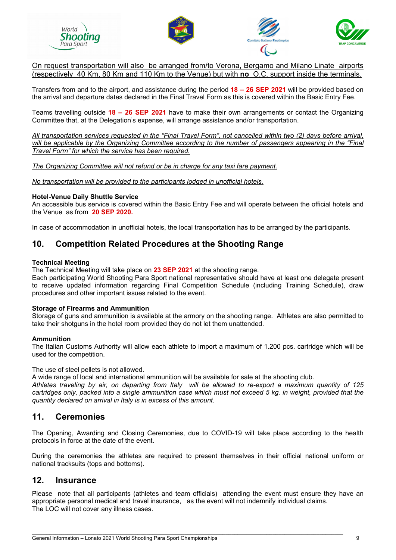







On request transportation will also be arranged from/to Verona, Bergamo and Milano Linate airports (respectively 40 Km, 80 Km and 110 Km to the Venue) but with **no** O.C. support inside the terminals.

Transfers from and to the airport, and assistance during the period **18 – 26 SEP 2021** will be provided based on the arrival and departure dates declared in the Final Travel Form as this is covered within the Basic Entry Fee.

Teams travelling outside **18 – 26 SEP 2021** have to make their own arrangements or contact the Organizing Committee that, at the Delegation's expense, will arrange assistance and/or transportation.

*All transportation services requested in the "Final Travel Form", not cancelled within two (2) days before arrival, will be applicable by the Organizing Committee according to the number of passengers appearing in the "Final Travel Form" for which the service has been required.* 

*The Organizing Committee will not refund or be in charge for any taxi fare payment.* 

*No transportation will be provided to the participants lodged in unofficial hotels.* 

#### **Hotel-Venue Daily Shuttle Service**

An accessible bus service is covered within the Basic Entry Fee and will operate between the official hotels and the Venue as from **20 SEP 2020.** 

In case of accommodation in unofficial hotels, the local transportation has to be arranged by the participants.

# **10. Competition Related Procedures at the Shooting Range**

#### **Technical Meeting**

The Technical Meeting will take place on **23 SEP 2021** at the shooting range.

Each participating World Shooting Para Sport national representative should have at least one delegate present to receive updated information regarding Final Competition Schedule (including Training Schedule), draw procedures and other important issues related to the event.

#### **Storage of Firearms and Ammunition**

Storage of guns and ammunition is available at the armory on the shooting range. Athletes are also permitted to take their shotguns in the hotel room provided they do not let them unattended.

#### **Ammunition**

The Italian Customs Authority will allow each athlete to import a maximum of 1.200 pcs. cartridge which will be used for the competition.

The use of steel pellets is not allowed.

A wide range of local and international ammunition will be available for sale at the shooting club.

*Athletes traveling by air, on departing from Italy will be allowed to re-export a maximum quantity of 125 cartridges only, packed into a single ammunition case which must not exceed 5 kg. in weight, provided that the quantity declared on arrival in Italy is in excess of this amount.* 

### **11. Ceremonies**

The Opening, Awarding and Closing Ceremonies, due to COVID-19 will take place according to the health protocols in force at the date of the event.

During the ceremonies the athletes are required to present themselves in their official national uniform or national tracksuits (tops and bottoms).

### **12. Insurance**

Please note that all participants (athletes and team officials) attending the event must ensure they have an appropriate personal medical and travel insurance, as the event will not indemnify individual claims. The LOC will not cover any illness cases.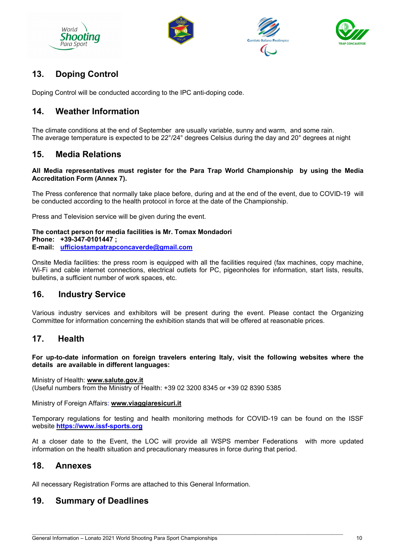







# **13. Doping Control**

Doping Control will be conducted according to the IPC anti-doping code.

# **14. Weather Information**

The climate conditions at the end of September are usually variable, sunny and warm, and some rain. The average temperature is expected to be 22°/24° degrees Celsius during the day and 20° degrees at night

# **15. Media Relations**

#### **All Media representatives must register for the Para Trap World Championship by using the Media Accreditation Form (Annex 7).**

The Press conference that normally take place before, during and at the end of the event, due to COVID-19 will be conducted according to the health protocol in force at the date of the Championship.

Press and Television service will be given during the event.

#### **The contact person for media facilities is Mr. Tomax Mondadori Phone: +39-347-0101447 ; E-mail: ufficiostampatrapconcaverde@gmail.com**

Onsite Media facilities: the press room is equipped with all the facilities required (fax machines, copy machine, Wi-Fi and cable internet connections, electrical outlets for PC, pigeonholes for information, start lists, results, bulletins, a sufficient number of work spaces, etc.

# **16. Industry Service**

Various industry services and exhibitors will be present during the event. Please contact the Organizing Committee for information concerning the exhibition stands that will be offered at reasonable prices.

# **17. Health**

#### **For up-to-date information on foreign travelers entering Italy, visit the following websites where the details are available in different languages:**

Ministry of Health: **www.salute.gov.it** (Useful numbers from the Ministry of Health: +39 02 3200 8345 or +39 02 8390 5385

Ministry of Foreign Affairs: **www.viaggiaresicuri.it**

Temporary regulations for testing and health monitoring methods for COVID-19 can be found on the ISSF website **https://www.issf-sports.org** 

At a closer date to the Event, the LOC will provide all WSPS member Federations with more updated information on the health situation and precautionary measures in force during that period.

# **18. Annexes**

All necessary Registration Forms are attached to this General Information.

# **19. Summary of Deadlines**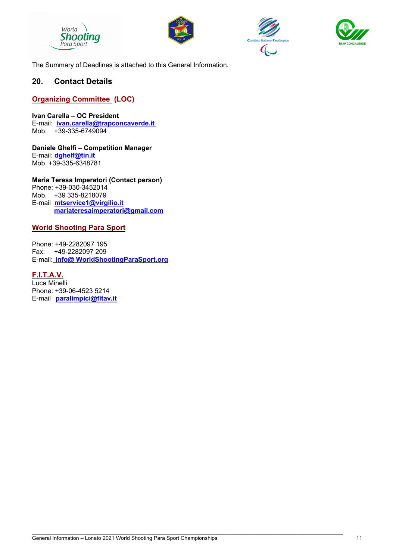







The Summary of Deadlines is attached to this General Information.

### **20. Contact Details**

#### **Organizing Committee (LOC)**

**Ivan Carella – OC President**  E-mail: **ivan.carella@trapconcaverde.it** Mob. +39-335-6749094

**Daniele Ghelfi – Competition Manager**  E-mail: **dghelf@tin.it** Mob. +39-335-6348781

**Maria Teresa Imperatori (Contact person)** Phone: +39-030-3452014 Mob. +39 335-8218079 E-mail **mtservice1@virgilio.it mariateresaimperatori@gmail.com** 

#### **World Shooting Para Sport**

Phone: +49-2282097 195 Fax: +49-2282097 209 E-mail: **info@ WorldShootingParaSport.org** 

**F.I.T.A.V.**  Luca Minelli Phone: +39-06-4523 5214 E-mail **paralimpici@fitav.it**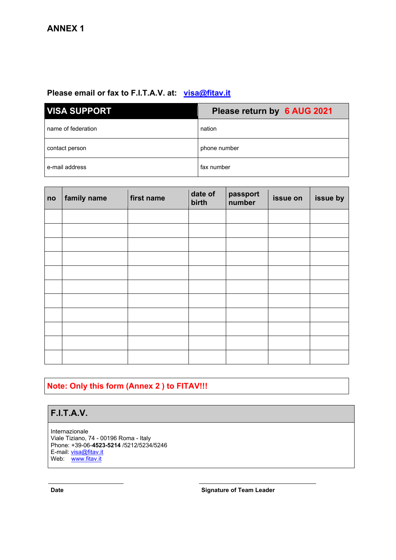# Please email or fax to F.I.T.A.V. at: visa@fitav.it

| <b>VISA SUPPORT</b> | Please return by 6 AUG 2021 |  |
|---------------------|-----------------------------|--|
| name of federation  | nation                      |  |
| contact person      | phone number                |  |
| e-mail address      | fax number                  |  |

| no | family name | first name | date of<br>birth | passport<br>number | issue on | issue by |
|----|-------------|------------|------------------|--------------------|----------|----------|
|    |             |            |                  |                    |          |          |
|    |             |            |                  |                    |          |          |
|    |             |            |                  |                    |          |          |
|    |             |            |                  |                    |          |          |
|    |             |            |                  |                    |          |          |
|    |             |            |                  |                    |          |          |
|    |             |            |                  |                    |          |          |
|    |             |            |                  |                    |          |          |
|    |             |            |                  |                    |          |          |
|    |             |            |                  |                    |          |          |
|    |             |            |                  |                    |          |          |

# **Note: Only this form (Annex 2 ) to FITAV!!!**

# **F.I.T.A.V.**

Internazionale Viale Tiziano, 74 - 00196 Roma - Italy Phone: +39-06-**4523-5214** /5212/5234/5246 E-mail: <u>visa@fitav.it</u> Web: <u>www.fitav.it</u>

**Date Date Signature of Team Leader**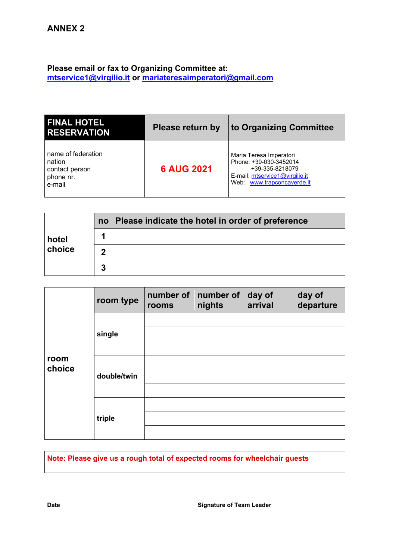### **Please email or fax to Organizing Committee at: mtservice1@virgilio.it or mariateresaimperatori@gmail.com**

| <b>FINAL HOTEL</b><br><b>RESERVATION</b>                              | <b>Please return by</b> | to Organizing Committee                                                                                                              |
|-----------------------------------------------------------------------|-------------------------|--------------------------------------------------------------------------------------------------------------------------------------|
| name of federation<br>nation<br>contact person<br>phone nr.<br>e-mail | <b>6 AUG 2021</b>       | Maria Teresa Imperatori<br>Phone: +39-030-3452014<br>+39-335-8218079<br>E-mail: mtservice1@virgilio.it<br>Web: www.trapconcaverde.it |

|        | no | Please indicate the hotel in order of preference |
|--------|----|--------------------------------------------------|
| hotel  |    |                                                  |
| choice | 2  |                                                  |
|        | 3  |                                                  |

|                | room type   | number of<br>rooms | number of<br>nights | day of<br>arrival | day of<br>departure |
|----------------|-------------|--------------------|---------------------|-------------------|---------------------|
|                |             |                    |                     |                   |                     |
|                | single      |                    |                     |                   |                     |
| room<br>choice |             |                    |                     |                   |                     |
|                | double/twin |                    |                     |                   |                     |
|                |             |                    |                     |                   |                     |
|                |             |                    |                     |                   |                     |
|                | triple      |                    |                     |                   |                     |
|                |             |                    |                     |                   |                     |
|                |             |                    |                     |                   |                     |

**Note: Please give us a rough total of expected rooms for wheelchair guests**

**Date Date Signature of Team Leader**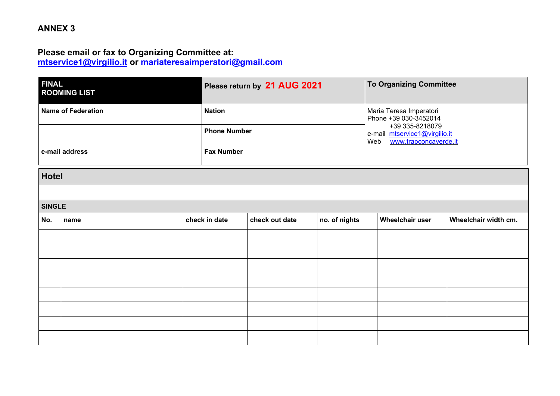# **ANNEX 3**

### **Please email or fax to Organizing Committee at: mtservice1@virgilio.it or mariateresaimperatori@gmail.com**

| <b>FINAL</b><br><b>ROOMING LIST</b> | Please return by 21 AUG 2021 | <b>To Organizing Committee</b>                                                   |
|-------------------------------------|------------------------------|----------------------------------------------------------------------------------|
| Name of Federation                  | <b>Nation</b>                | Maria Teresa Imperatori<br>Phone +39 030-3452014                                 |
|                                     | <b>Phone Number</b>          | +39 335-8218079<br>e-mail mtservice1@virgilio.it<br>www.trapconcaverde.it<br>Web |
| e-mail address                      | <b>Fax Number</b>            |                                                                                  |

#### **Hotel**

#### **SINGLE**

| No. | name | check in date | check out date | no. of nights | Wheelchair user | Wheelchair width cm. |
|-----|------|---------------|----------------|---------------|-----------------|----------------------|
|     |      |               |                |               |                 |                      |
|     |      |               |                |               |                 |                      |
|     |      |               |                |               |                 |                      |
|     |      |               |                |               |                 |                      |
|     |      |               |                |               |                 |                      |
|     |      |               |                |               |                 |                      |
|     |      |               |                |               |                 |                      |
|     |      |               |                |               |                 |                      |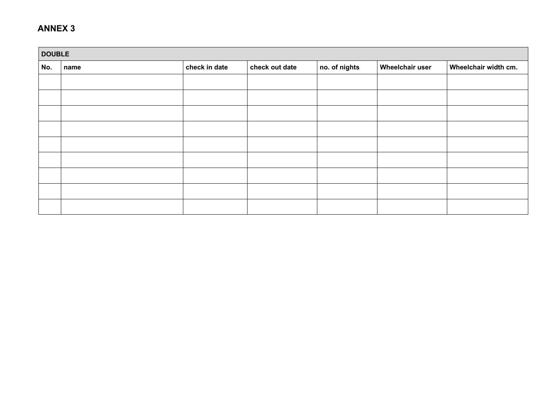### **ANNEX 3**

|     | <b>DOUBLE</b> |               |                |               |                        |                      |  |  |
|-----|---------------|---------------|----------------|---------------|------------------------|----------------------|--|--|
| No. | name          | check in date | check out date | no. of nights | <b>Wheelchair user</b> | Wheelchair width cm. |  |  |
|     |               |               |                |               |                        |                      |  |  |
|     |               |               |                |               |                        |                      |  |  |
|     |               |               |                |               |                        |                      |  |  |
|     |               |               |                |               |                        |                      |  |  |
|     |               |               |                |               |                        |                      |  |  |
|     |               |               |                |               |                        |                      |  |  |
|     |               |               |                |               |                        |                      |  |  |
|     |               |               |                |               |                        |                      |  |  |
|     |               |               |                |               |                        |                      |  |  |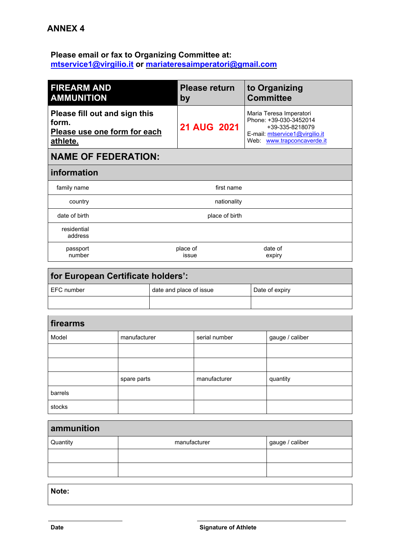# **Please email or fax to Organizing Committee at: mtservice1@virgilio.it or mariateresaimperatori@gmail.com**

| <b>FIREARM AND</b><br><b>AMMUNITION</b>                                            | <b>Please return</b><br>by | to Organizing<br><b>Committee</b>                                                                                                    |
|------------------------------------------------------------------------------------|----------------------------|--------------------------------------------------------------------------------------------------------------------------------------|
| Please fill out and sign this<br>form.<br>Please use one form for each<br>athlete. | <b>21 AUG 2021</b>         | Maria Teresa Imperatori<br>Phone: +39-030-3452014<br>+39-335-8218079<br>E-mail: mtservice1@virgilio.it<br>Web: www.trapconcaverde.it |
| <b>NAME OF FEDERATION:</b>                                                         |                            |                                                                                                                                      |
| information                                                                        |                            |                                                                                                                                      |
| family name                                                                        | first name                 |                                                                                                                                      |
| country                                                                            | nationality                |                                                                                                                                      |
| date of birth                                                                      | place of birth             |                                                                                                                                      |
| residential<br>address                                                             |                            |                                                                                                                                      |
| passport<br>number                                                                 | place of<br>issue          | date of<br>expiry                                                                                                                    |

| for European Certificate holders': |                         |                |  |  |  |
|------------------------------------|-------------------------|----------------|--|--|--|
| EFC number                         | date and place of issue | Date of expiry |  |  |  |
|                                    |                         |                |  |  |  |

| firearms |              |               |                 |  |  |  |  |
|----------|--------------|---------------|-----------------|--|--|--|--|
| Model    | manufacturer | serial number | gauge / caliber |  |  |  |  |
|          |              |               |                 |  |  |  |  |
|          |              |               |                 |  |  |  |  |
|          | spare parts  | manufacturer  | quantity        |  |  |  |  |
| barrels  |              |               |                 |  |  |  |  |
| stocks   |              |               |                 |  |  |  |  |

| ammunition |              |                 |  |  |  |  |
|------------|--------------|-----------------|--|--|--|--|
| Quantity   | manufacturer | gauge / caliber |  |  |  |  |
|            |              |                 |  |  |  |  |
|            |              |                 |  |  |  |  |
|            |              |                 |  |  |  |  |

**Note:**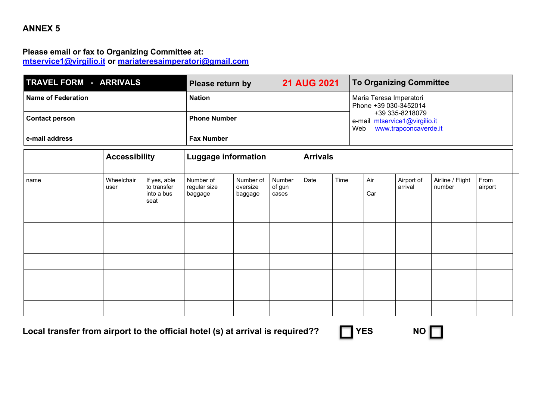# **ANNEX 5**

### **Please email or fax to Organizing Committee at: mtservice1@virgilio.it or mariateresaimperatori@gmail.com**

| TRAVEL FORM - ARRIVALS    | Please return by    | <b>21 AUG 2021</b>                               | To Organizing Committee                                                          |
|---------------------------|---------------------|--------------------------------------------------|----------------------------------------------------------------------------------|
| <b>Name of Federation</b> |                     | Maria Teresa Imperatori<br>Phone +39 030-3452014 |                                                                                  |
| Contact person            | <b>Phone Number</b> |                                                  | +39 335-8218079<br>e-mail mtservice1@virgilio.it<br>Web<br>www.trapconcaverde.it |
| l e-mail address          | <b>Fax Number</b>   |                                                  |                                                                                  |

|      | <b>Accessibility</b> |                                                   | <b>Luggage information</b>           |                                  |                           | <b>Arrivals</b> |      |            |                       |                            |                 |
|------|----------------------|---------------------------------------------------|--------------------------------------|----------------------------------|---------------------------|-----------------|------|------------|-----------------------|----------------------------|-----------------|
| name | Wheelchair<br>user   | If yes, able<br>to transfer<br>into a bus<br>seat | Number of<br>regular size<br>baggage | Number of<br>oversize<br>baggage | Number<br>of gun<br>cases | Date            | Time | Air<br>Car | Airport of<br>arrival | Airline / Flight<br>number | From<br>airport |
|      |                      |                                                   |                                      |                                  |                           |                 |      |            |                       |                            |                 |
|      |                      |                                                   |                                      |                                  |                           |                 |      |            |                       |                            |                 |
|      |                      |                                                   |                                      |                                  |                           |                 |      |            |                       |                            |                 |
|      |                      |                                                   |                                      |                                  |                           |                 |      |            |                       |                            |                 |
|      |                      |                                                   |                                      |                                  |                           |                 |      |            |                       |                            |                 |
|      |                      |                                                   |                                      |                                  |                           |                 |      |            |                       |                            |                 |
|      |                      |                                                   |                                      |                                  |                           |                 |      |            |                       |                            |                 |

Local transfer from airport to the official hotel (s) at arrival is required?? **THES** NO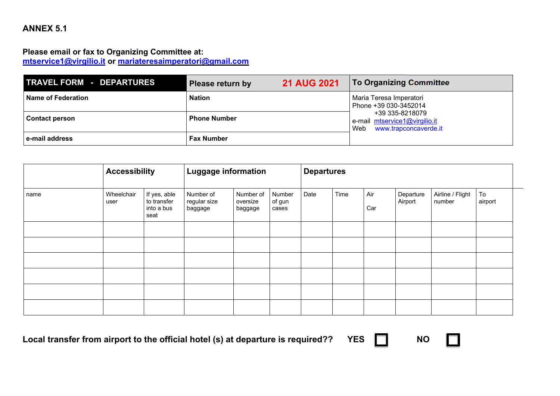# **ANNEX 5.1**

### **Please email or fax to Organizing Committee at: mtservice1@virgilio.it or mariateresaimperatori@gmail.com**

| <b>TRAVEL FORM - DEPARTURES</b> | <b>Please return by</b> | <b>21 AUG 2021</b> | <b>To Organizing Committee</b>                                                |
|---------------------------------|-------------------------|--------------------|-------------------------------------------------------------------------------|
| <b>Name of Federation</b>       | <b>Nation</b>           |                    | Maria Teresa Imperatori<br>Phone +39 030-3452014                              |
| <b>Contact person</b>           | <b>Phone Number</b>     |                    | +39 335-8218079<br>e-mail mtservice1@virgilio.it<br>Web www.trapconcaverde.it |
| e-mail address                  | <b>Fax Number</b>       |                    |                                                                               |

|      | <b>Accessibility</b> |                                                   | <b>Luggage information</b>           |                                  | <b>Departures</b>         |      |      |            |                      |                            |               |
|------|----------------------|---------------------------------------------------|--------------------------------------|----------------------------------|---------------------------|------|------|------------|----------------------|----------------------------|---------------|
| name | Wheelchair<br>user   | If yes, able<br>to transfer<br>into a bus<br>seat | Number of<br>regular size<br>baggage | Number of<br>oversize<br>baggage | Number<br>of gun<br>cases | Date | Time | Air<br>Car | Departure<br>Airport | Airline / Flight<br>number | To<br>airport |
|      |                      |                                                   |                                      |                                  |                           |      |      |            |                      |                            |               |
|      |                      |                                                   |                                      |                                  |                           |      |      |            |                      |                            |               |
|      |                      |                                                   |                                      |                                  |                           |      |      |            |                      |                            |               |
|      |                      |                                                   |                                      |                                  |                           |      |      |            |                      |                            |               |
|      |                      |                                                   |                                      |                                  |                           |      |      |            |                      |                            |               |
|      |                      |                                                   |                                      |                                  |                           |      |      |            |                      |                            |               |

**Local transfer from airport to the official hotel (s) at departure is required?? YES NO** 



n.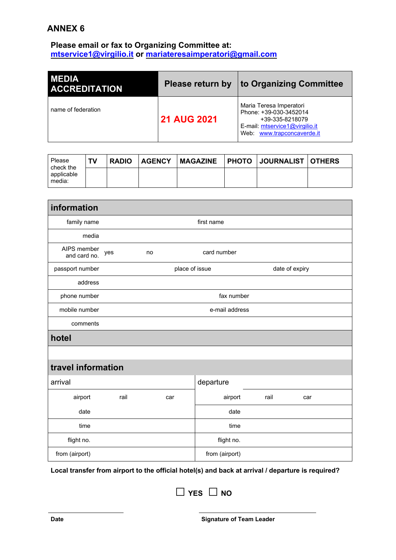# **ANNEX 6**

### **Please email or fax to Organizing Committee at: mtservice1@virgilio.it or mariateresaimperatori@gmail.com**

| <b>MEDIA</b><br><b>ACCREDITATION</b> | Please return by   | to Organizing Committee                                                                                                              |  |  |
|--------------------------------------|--------------------|--------------------------------------------------------------------------------------------------------------------------------------|--|--|
| name of federation                   | <b>21 AUG 2021</b> | Maria Teresa Imperatori<br>Phone: +39-030-3452014<br>+39-335-8218079<br>E-mail: mtservice1@virgilio.it<br>Web: www.trapconcaverde.it |  |  |

| Please<br>check the  | TV | <b>RADIO</b> | <b>AGENCY</b> |  | MAGAZINE   PHOTO   JOURNALIST   OTHERS |  |
|----------------------|----|--------------|---------------|--|----------------------------------------|--|
| applicable<br>media: |    |              |               |  |                                        |  |

| information                 |                |                                  |     |                |      |     |  |
|-----------------------------|----------------|----------------------------------|-----|----------------|------|-----|--|
| family name                 | first name     |                                  |     |                |      |     |  |
| media                       |                |                                  |     |                |      |     |  |
| AIPS member<br>and card no. | yes            | no                               |     | card number    |      |     |  |
| passport number             |                | place of issue<br>date of expiry |     |                |      |     |  |
| address                     |                |                                  |     |                |      |     |  |
| phone number                | fax number     |                                  |     |                |      |     |  |
| mobile number               | e-mail address |                                  |     |                |      |     |  |
| comments                    |                |                                  |     |                |      |     |  |
| hotel                       |                |                                  |     |                |      |     |  |
|                             |                |                                  |     |                |      |     |  |
| travel information          |                |                                  |     |                |      |     |  |
| arrival                     |                |                                  |     | departure      |      |     |  |
| airport                     | rail           |                                  | car | airport        | rail | car |  |
| date                        |                |                                  |     | date           |      |     |  |
| time                        |                |                                  |     | time           |      |     |  |
| flight no.                  |                |                                  |     | flight no.     |      |     |  |
| from (airport)              |                |                                  |     | from (airport) |      |     |  |

**Local transfer from airport to the official hotel(s) and back at arrival / departure is required?**